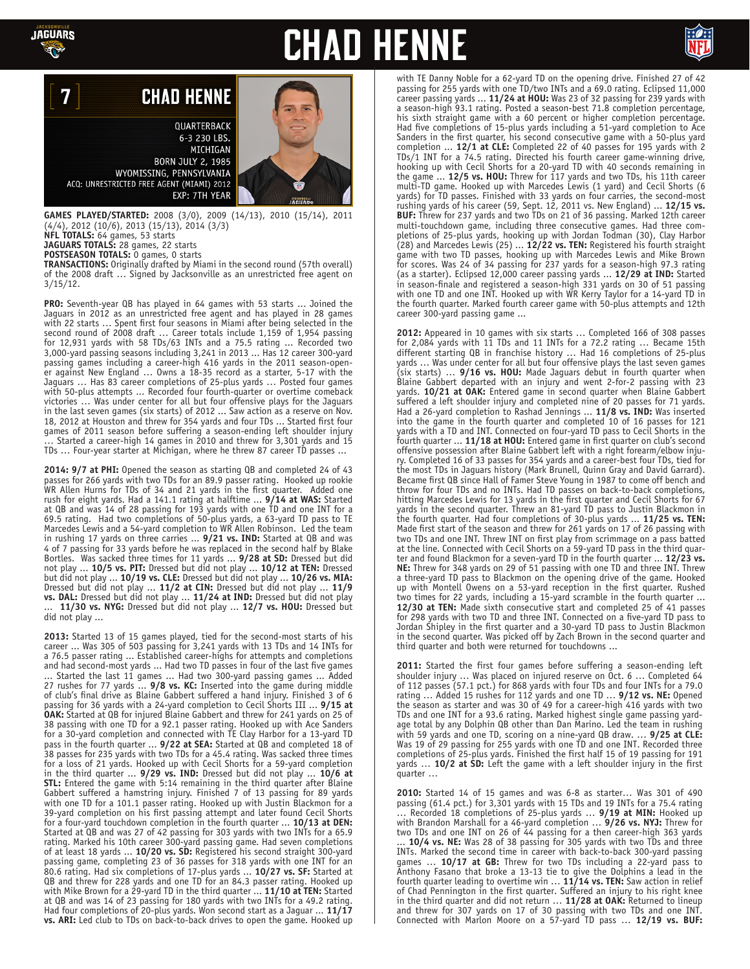

7

# **CHAD HENNE**



## **CHAD HENNE**

QUARTERBACK 6-3 230 LBS. MICHIGAN **BORN JULY 2, 1985** WYOMISSING, PENNSYLVANIA ACQ: UNRESTRICTED FREE AGENT (MIAMI) 2012 EXP: 7TH YEAR

**GAMES PLAYED/STARTED:** 2008 (3/0), 2009 (14/13), 2010 (15/14), 2011 (4/4), 2012 (10/6), 2013 (15/13), 2014 (3/3) **NFL TOTALS:** 64 games, 53 starts

**JAGUARS TOTALS:** 28 games, 22 starts

**POSTSEASON TOTALS:** 0 games, 0 starts

**TRANSACTIONS:** Originally drafted by Miami in the second round (57th overall) of the 2008 draft … Signed by Jacksonville as an unrestricted free agent on 3/15/12.

**PRO:** Seventh-year QB has played in 64 games with 53 starts ... Joined the Jaguars in 2012 as an unrestricted free agent and has played in 28 games with 22 starts ... Spent first four seasons in Miami after being selected in the second round of 2008 draft … Career totals include 1,159 of 1,954 passing for 12,931 yards with 58 TDs/63 INTs and a 75.5 rating ... Recorded two 3,000-yard passing seasons including 3,241 in 2013 ... Has 12 career 300-yard passing games including a career-high 416 yards in the 2011 season-opener against New England … Owns a 18-35 record as a starter, 5-17 with the Jaguars … Has 83 career completions of 25-plus yards … Posted four games with 50-plus attempts ... Recorded four fourth-quarter or overtime comeback victories … Was under center for all but four offensive plays for the Jaguars in the last seven games (six starts) of 2012 ... Saw action as a reserve on Nov. 18, 2012 at Houston and threw for 354 yards and four TDs ... Started first four games of 2011 season before suffering a season-ending left shoulder injury … Started a career-high 14 games in 2010 and threw for 3,301 yards and 15 TDs … Four-year starter at Michigan, where he threw 87 career TD passes ...

**2014: 9/7 at PHI:** Opened the season as starting QB and completed 24 of 43 passes for 266 yards with two TDs for an 89.9 passer rating. Hooked up rookie WR Allen Hurns for TDs of 34 and 21 yards in the first quarter. Added one rush for eight yards. Had a 141.1 rating at halftime ... **9/14 at WAS:** Started at QB and was 14 of 28 passing for 193 yards with one TD and one INT for a 69.5 rating. Had two completions of 50-plus yards, a 63-yard TD pass to TE Marcedes Lewis and a 54-yard completion to WR Allen Robinson. Led the team in rushing 17 yards on three carries ... **9/21 vs. IND:** Started at QB and was 4 of 7 passing for 33 yards before he was replaced in the second half by Blake Bortles. Was sacked three times for 11 yards ... **9/28 at SD:** Dressed but did not play ... **10/5 vs. PIT:** Dressed but did not play ... **10/12 at TEN:** Dressed but did not play ... **10/19 vs. CLE:** Dressed but did not play ... **10/26 vs. MIA:**  Dressed but did not play ... **11/2 at CIN:** Dressed but did not play ... **11/9 vs. DAL:** Dressed but did not play ... **11/24 at IND:** Dressed but did not play ... **11/30 vs. NYG:** Dressed but did not play ... **12/7 vs. HOU:** Dressed but did not play ...

**2013:** Started 13 of 15 games played, tied for the second-most starts of his career ... Was 305 of 503 passing for 3,241 yards with 13 TDs and 14 INTs for a 76.5 passer rating ... Established career-highs for attempts and completions and had second-most yards ... Had two TD passes in four of the last five games ... Started the last 11 games ... Had two 300-yard passing games ... Added 27 rushes for 77 yards ... **9/8 vs. KC:** Inserted into the game during middle of club's final drive as Blaine Gabbert suffered a hand injury. Finished 3 of 6 passing for 36 yards with a 24-yard completion to Cecil Shorts III ... **9/15 at OAK:** Started at QB for injured Blaine Gabbert and threw for 241 yards on 25 of 38 passing with one TD for a 92.1 passer rating. Hooked up with Ace Sanders for a 30-yard completion and connected with TE Clay Harbor for a 13-yard TD pass in the fourth quarter ... **9/22 at SEA:** Started at QB and completed 18 of 38 passes for 235 yards with two TDs for a 45.4 rating. Was sacked three times for a loss of 21 yards. Hooked up with Cecil Shorts for a 59-yard completion in the third quarter ... **9/29 vs. IND:** Dressed but did not play ... **10/6 at STL:** Entered the game with 5:14 remaining in the third quarter after Blaine Gabbert suffered a hamstring injury. Finished 7 of 13 passing for 89 yards with one TD for a 101.1 passer rating. Hooked up with Justin Blackmon for a 39-yard completion on his first passing attempt and later found Cecil Shorts for a four-yard touchdown completion in the fourth quarter ... **10/13 at DEN:** Started at QB and was 27 of 42 passing for 303 yards with two INTs for a 65.9 rating. Marked his 10th career 300-yard passing game. Had seven completions of at least 18 yards ... **10/20 vs. SD:** Registered his second straight 300-yard passing game, completing 23 of 36 passes for 318 yards with one INT for an 80.6 rating. Had six completions of 17-plus yards ... **10/27 vs. SF:** Started at QB and threw for 228 yards and one TD for an 84.3 passer rating. Hooked up with Mike Brown for a 29-yard TD in the third quarter ... **11/10 at TEN:** Started at QB and was 14 of 23 passing for 180 yards with two INTs for a 49.2 rating. Had four completions of 20-plus yards. Won second start as a Jaguar ... **11/17 vs. ARI:** Led club to TDs on back-to-back drives to open the game. Hooked up



with TE Danny Noble for a 62-yard TD on the opening drive. Finished 27 of 42 passing for 255 yards with one TD/two INTs and a 69.0 rating. Eclipsed 11,000 career passing yards ... **11/24 at HOU:** Was 23 of 32 passing for 239 yards with a season-high 93.1 rating. Posted a season-best 71.8 completion percentage, his sixth straight game with a 60 percent or higher completion percentage. Had five completions of 15-plus yards including a 51-yard completion to Ace Sanders in the first quarter, his second consecutive game with a 50-plus yard completion ... **12/1 at CLE:** Completed 22 of 40 passes for 195 yards with 2 TDs/1 INT for a 74.5 rating. Directed his fourth career game-winning drive, hooking up with Cecil Shorts for a 20-yard TD with 40 seconds remaining in the game ... **12/5 vs. HOU:** Threw for 117 yards and two TDs, his 11th career multi-TD game. Hooked up with Marcedes Lewis (1 yard) and Cecil Shorts (6 yards) for TD passes. Finished with 33 yards on four carries, the second-most rushing yards of his career (59, Sept. 12, 2011 vs. New England) ... **12/15 vs. BUF:** Threw for 237 yards and two TDs on 21 of 36 passing. Marked 12th career multi-touchdown game, including three consecutive games. Had three completions of 25-plus yards, hooking up with Jordan Todman (30), Clay Harbor (28) and Marcedes Lewis (25) ... **12/22 vs. TEN:** Registered his fourth straight game with two TD passes, hooking up with Marcedes Lewis and Mike Brown for scores. Was 24 of 34 passing for 237 yards for a season-high 97.3 rating (as a starter). Eclipsed 12,000 career passing yards ... **12/29 at IND:** Started in season-finale and registered a season-high 331 yards on 30 of 51 passing with one TD and one INT. Hooked up with WR Kerry Taylor for a 14-yard TD in the fourth quarter. Marked fourth career game with 50-plus attempts and 12th career 300-yard passing game ...

**2012:** Appeared in 10 games with six starts … Completed 166 of 308 passes for 2,084 yards with 11 TDs and 11 INTs for a 72.2 rating … Became 15th different starting QB in franchise history … Had 16 completions of 25-plus yards … Was under center for all but four offensive plays the last seven games (six starts) … **9/16 vs. HOU:** Made Jaguars debut in fourth quarter when Blaine Gabbert departed with an injury and went 2-for-2 passing with 23 yards. **10/21 at OAK:** Entered game in second quarter when Blaine Gabbert suffered a left shoulder injury and completed nine of 20 passes for 71 yards. Had a 26-yard completion to Rashad Jennings ... **11/8 vs. IND:** Was inserted into the game in the fourth quarter and completed 10 of 16 passes for 121 yards with a TD and INT. Connected on four-yard TD pass to Cecil Shorts in the fourth quarter ... **11/18 at HOU:** Entered game in first quarter on club's second offensive possession after Blaine Gabbert left with a right forearm/elbow injury. Completed 16 of 33 passes for 354 yards and a career-best four TDs, tied for the most TDs in Jaguars history (Mark Brunell, Quinn Gray and David Garrard). Became first QB since Hall of Famer Steve Young in 1987 to come off bench and throw for four TDs and no INTs. Had TD passes on back-to-back completions, hitting Marcedes Lewis for 13 yards in the first quarter and Cecil Shorts for 67 yards in the second quarter. Threw an 81-yard TD pass to Justin Blackmon in the fourth quarter. Had four completions of 30-plus yards ... **11/25 vs. TEN:**  Made first start of the season and threw for 261 yards on 17 of 26 passing with two TDs and one INT. Threw INT on first play from scrimmage on a pass batted at the line. Connected with Cecil Shorts on a 59-yard TD pass in the third quarter and found Blackmon for a seven-yard TD in the fourth quarter ... **12/23 vs. NE:** Threw for 348 yards on 29 of 51 passing with one TD and three INT. Threw a three-yard TD pass to Blackmon on the opening drive of the game. Hooked up with Montell Owens on a 53-yard reception in the first quarter. Rushed two times for 22 yards, including a 15-yard scramble in the fourth quarter ... 12/30 at TEN: Made sixth consecutive start and completed 25 of 41 passes for 298 yards with two TD and three INT. Connected on a five-yard TD pass to Jordan Shipley in the first quarter and a 30-yard TD pass to Justin Blackmon in the second quarter. Was picked off by Zach Brown in the second quarter and third quarter and both were returned for touchdowns ...

**2011:** Started the first four games before suffering a season-ending left shoulder injury … Was placed on injured reserve on Oct. 6 … Completed 64 of 112 passes (57.1 pct.) for 868 yards with four TDs and four INTs for a 79.0 rating … Added 15 rushes for 112 yards and one TD … **9/12 vs. NE:** Opened the season as starter and was 30 of 49 for a career-high 416 yards with two TDs and one INT for a 93.6 rating. Marked highest single game passing yardage total by any Dolphin QB other than Dan Marino. Led the team in rushing with 59 yards and one TD, scoring on a nine-yard QB draw. … **9/25 at CLE:**  Was 19 of 29 passing for 255 yards with one TD and one INT. Recorded three completions of 25-plus yards. Finished the first half 15 of 19 passing for 191 yards … **10/2 at SD:** Left the game with a left shoulder injury in the first quarter …

**2010:** Started 14 of 15 games and was 6-8 as starter… Was 301 of 490 passing (61.4 pct.) for 3,301 yards with 15 TDs and 19 INTs for a 75.4 rating … Recorded 18 completions of 25-plus yards … **9/19 at MIN:** Hooked up with Brandon Marshall for a 46-yard completion … **9/26 vs. NYJ:** Threw for two TDs and one INT on 26 of 44 passing for a then career-high 363 yards 10/4 vs. NE: Was 28 of 38 passing for 305 yards with two TDs and three INTs. Marked the second time in career with back-to-back 300-yard passing games … **10/17 at GB:** Threw for two TDs including a 22-yard pass to Anthony Fasano that broke a 13-13 tie to give the Dolphins a lead in the fourth quarter leading to overtime win … **11/14 vs. TEN:** Saw action in relief of Chad Pennington in the first quarter. Suffered an injury to his right knee in the third quarter and did not return … **11/28 at OAK:** Returned to lineup and threw for 307 yards on 17 of 30 passing with two TDs and one INT. Connected with Marlon Moore on a 57-yard TD pass … **12/19 vs. BUF:**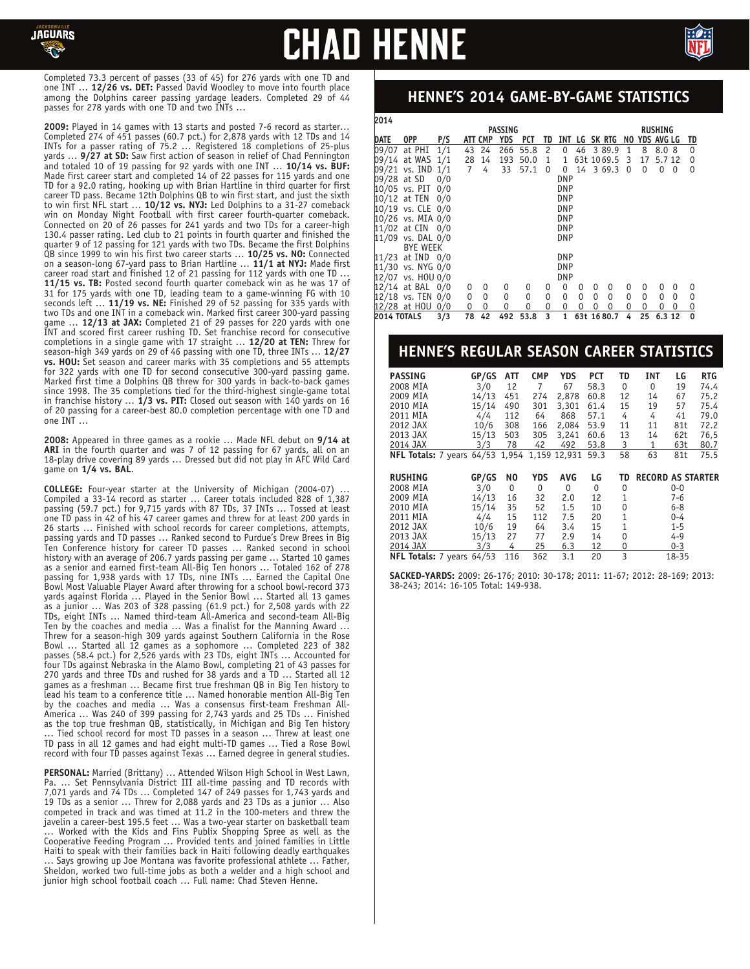

# **CHAD HENN**



Completed 73.3 percent of passes (33 of 45) for 276 yards with one TD and one INT … **12/26 vs. DET:** Passed David Woodley to move into fourth place among the Dolphins career passing yardage leaders. Completed 29 of 44 passes for 278 yards with one TD and two INTs …

**2009:** Played in 14 games with 13 starts and posted 7-6 record as starter… Completed 274 of 451 passes (60.7 pct.) for 2,878 yards with 12 TDs and 14 INTs for a passer rating of 75.2 … Registered 18 completions of 25-plus yards … **9/27 at SD:** Saw first action of season in relief of Chad Pennington and totaled 10 of 19 passing for 92 yards with one INT … **10/14 vs. BUF:** Made first career start and completed 14 of 22 passes for 115 yards and one TD for a 92.0 rating, hooking up with Brian Hartline in third quarter for first career TD pass. Became 12th Dolphins QB to win first start, and just the sixth to win first NFL start … **10/12 vs. NYJ:** Led Dolphins to a 31-27 comeback win on Monday Night Football with first career fourth-quarter comeback. Connected on 20 of 26 passes for 241 yards and two TDs for a career-high 130.4 passer rating. Led club to 21 points in fourth quarter and finished the quarter 9 of 12 passing for 121 yards with two TDs. Became the first Dolphins QB since 1999 to win his first two career starts … **10/25 vs. NO:** Connected on a season-long 67-yard pass to Brian Hartline … **11/1 at NYJ:** Made first career road start and finished 12 of 21 passing for 112 yards with one TD … **11/15 vs. TB:** Posted second fourth quarter comeback win as he was 17 of 31 for 175 yards with one TD, leading team to a game-winning FG with 10 seconds left … **11/19 vs. NE:** Finished 29 of 52 passing for 335 yards with two TDs and one INT in a comeback win. Marked first career 300-yard passing game … **12/13 at JAX:** Completed 21 of 29 passes for 220 yards with one INT and scored first career rushing TD. Set franchise record for consecutive completions in a single game with 17 straight … **12/20 at TEN:** Threw for season-high 349 yards on 29 of 46 passing with one TD, three INTs … **12/27 vs. HOU:** Set season and career marks with 35 completions and 55 attempts for 322 yards with one TD for second consecutive 300-yard passing game. Marked first time a Dolphins QB threw for 300 yards in back-to-back games since 1998. The 35 completions tied for the third-highest single-game total in franchise history … **1/3 vs. PIT:** Closed out season with 140 yards on 16 of 20 passing for a career-best 80.0 completion percentage with one TD and one INT …

**2008:** Appeared in three games as a rookie … Made NFL debut on **9/14 at ARI** in the fourth quarter and was 7 of 12 passing for 67 yards, all on an 18-play drive covering 89 yards … Dressed but did not play in AFC Wild Card game on **1/4 vs. BAL**.

**COLLEGE:** Four-year starter at the University of Michigan (2004-07) … Compiled a 33-14 record as starter … Career totals included 828 of 1,387 passing (59.7 pct.) for 9,715 yards with 87 TDs, 37 INTs … Tossed at least one TD pass in 42 of his 47 career games and threw for at least 200 yards in 26 starts … Finished with school records for career completions, attempts, passing yards and TD passes … Ranked second to Purdue's Drew Brees in Big Ten Conference history for career TD passes … Ranked second in school history with an average of 206.7 yards passing per game … Started 10 games as a senior and earned first-team All-Big Ten honors … Totaled 162 of 278 passing for 1,938 yards with 17 TDs, nine INTs … Earned the Capital One Bowl Most Valuable Player Award after throwing for a school bowl-record 373 yards against Florida … Played in the Senior Bowl … Started all 13 games as a junior … Was 203 of 328 passing (61.9 pct.) for 2,508 yards with 22 TDs, eight INTs … Named third-team All-America and second-team All-Big Ten by the coaches and media … Was a finalist for the Manning Award … Threw for a season-high 309 yards against Southern California in the Rose Bowl … Started all 12 games as a sophomore … Completed 223 of 382 passes (58.4 pct.) for 2,526 yards with 23 TDs, eight INTs ... Accounted for four TDs against Nebraska in the Alamo Bowl, completing 21 of 43 passes for 270 yards and three TDs and rushed for 38 yards and a TD … Started all 12 games as a freshman … Became first true freshman QB in Big Ten history to lead his team to a conference title … Named honorable mention All-Big Ten by the coaches and media … Was a consensus first-team Freshman All-America … Was 240 of 399 passing for 2,743 yards and 25 TDs … Finished as the top true freshman QB, statistically, in Michigan and Big Ten history … Tied school record for most TD passes in a season … Threw at least one TD pass in all 12 games and had eight multi-TD games … Tied a Rose Bowl record with four TD passes against Texas … Earned degree in general studies.

**PERSONAL:** Married (Brittany) … Attended Wilson High School in West Lawn, Pa. … Set Pennsylvania District III all-time passing and TD records with 7,071 yards and 74 TDs … Completed 147 of 249 passes for 1,743 yards and 19 TDs as a senior … Threw for 2,088 yards and 23 TDs as a junior … Also competed in track and was timed at 11.2 in the 100-meters and threw the javelin a career-best 195.5 feet … Was a two-year starter on basketball team … Worked with the Kids and Fins Publix Shopping Spree as well as the Cooperative Feeding Program … Provided tents and joined families in Little Haiti to speak with their families back in Haiti following deadly earthquakes … Says growing up Joe Montana was favorite professional athlete … Father, Sheldon, worked two full-time jobs as both a welder and a high school and junior high school football coach … Full name: Chad Steven Henne.

### **HENNE'S 2014 GAME-BY-GAME STATISTICS**

| <b>2014</b>        |                   |     |    |         |                |      |    |            |    |   |            |                |    |            |   |                |
|--------------------|-------------------|-----|----|---------|----------------|------|----|------------|----|---|------------|----------------|----|------------|---|----------------|
|                    |                   |     |    |         | <b>RUSHING</b> |      |    |            |    |   |            |                |    |            |   |                |
| <b>DATE</b>        | 0PP               | P/S |    | ATT CMP | YDS            | PCT  | TD | INT        | LG |   | SK RTG     | NO.            |    | YDS AVG LG |   | TD             |
|                    | 09/07 at PHI      | 1/1 | 43 | 24      | 266            | 55.8 | 2  | 0          | 46 |   | 3 89.9     | 1              | 8  | 8.08       |   | $\Omega$       |
|                    | 09/14 at WAS 1/1  |     | 28 | 14      | 193            | 50.0 | 1  | 1          |    |   | 63t 1069.5 | 3              | 17 | 5.7 12     |   | 0              |
|                    | 09/21 vs. IND 1/1 |     | 7  | 4       | 33             | 57.1 | 0  | 0          |    |   | 14 3 69.3  | $\overline{0}$ | 0  | 0          | 0 | 0              |
|                    | 09/28 at SD       | 0/0 |    |         |                |      |    | <b>DNP</b> |    |   |            |                |    |            |   |                |
|                    | 10/05 vs. PIT     | 0/0 |    |         |                |      |    | <b>DNP</b> |    |   |            |                |    |            |   |                |
|                    | 10/12 at TEN      | 0/0 |    |         |                |      |    | <b>DNP</b> |    |   |            |                |    |            |   |                |
|                    | 10/19 vs. CLE 0/0 |     |    |         |                |      |    | <b>DNP</b> |    |   |            |                |    |            |   |                |
|                    | 10/26 vs. MIA 0/0 |     |    |         |                |      |    | <b>DNP</b> |    |   |            |                |    |            |   |                |
|                    | 11/02 at CIN 0/0  |     |    |         |                |      |    | <b>DNP</b> |    |   |            |                |    |            |   |                |
|                    | 11/09 vs. DAL 0/0 |     |    |         |                |      |    | <b>DNP</b> |    |   |            |                |    |            |   |                |
|                    | <b>BYE WEEK</b>   |     |    |         |                |      |    |            |    |   |            |                |    |            |   |                |
|                    | 11/23 at IND 0/0  |     |    |         |                |      |    | <b>DNP</b> |    |   |            |                |    |            |   |                |
|                    | 11/30 vs. NYG 0/0 |     |    |         |                |      |    | <b>DNP</b> |    |   |            |                |    |            |   |                |
|                    | 12/07 vs. HOU 0/0 |     |    |         |                |      |    | <b>DNP</b> |    |   |            |                |    |            |   |                |
|                    | 12/14 at BAL 0/0  |     | 0  | 0       | 0              | 0    | 0  | $\Omega$   | 0  | 0 | 0          | 0              | 0  | 0          | 0 | 0              |
|                    | 12/18 vs. TEN 0/0 |     | 0  | 0       | 0              | 0    | 0  | 0          | 0  | 0 | 0          | 0              | 0  | 0          | 0 | 0              |
|                    | 12/28 at HOU      | 0/0 | 0  | 0       | 0              | 0    | 0  | 0          | 0  | 0 | 0          | 0              | 0  | 0          | 0 | $\overline{0}$ |
| <b>2014 TOTALS</b> |                   | 3/3 | 78 | 42      | 492            | 53.8 | 3  | 1          |    |   | 63t 1680.7 | 4              | 25 | 6.3 12     |   | $\mathbf 0$    |

### **HENNE'S REGULAR SEASON CAREER STATISTICS**

| <b>PASSING</b>            | GP/GS | ATT   | <b>CMP</b> | <b>YDS</b>   | <b>PCT</b> | TD | <b>INT</b>               | LG      | <b>RTG</b> |
|---------------------------|-------|-------|------------|--------------|------------|----|--------------------------|---------|------------|
| 2008 MIA                  | 3/0   | 12    | 7          | 67           | 58.3       | 0  | $\Omega$                 | 19      | 74.4       |
| 2009 MIA                  | 14/13 | 451   | 274        | 2,878        | 60.8       | 12 | 14                       | 67      | 75.2       |
| 2010 MIA                  | 15/14 | 490   | 301        | 3,301        | 61.4       | 15 | 19                       | 57      | 75.4       |
| 2011 MIA                  | 4/4   | 112   | 64         | 868          | 57.1       | 4  | 4                        | 41      | 79.0       |
| 2012 JAX                  | 10/6  | 308   | 166        | 2,084        | 53.9       | 11 | 11                       | 81t     | 72.2       |
| 2013 JAX                  | 15/13 | 503   | 305        | 3,241        | 60.6       | 13 | 14                       | 62t     | 76,5       |
| 2014 JAX                  | 3/3   | 78    | 42         | 492          | 53.8       | 3  | 1                        | 63t     | 80.7       |
| NFL Totals: 7 years 64/53 |       | 1,954 |            | 1,159 12,931 | 59.3       | 58 | 63                       | 81t     | 75.5       |
|                           |       |       |            |              |            |    |                          |         |            |
| <b>RUSHING</b>            | GP/GS | NO.   | <b>YDS</b> | <b>AVG</b>   | LG         | TD | <b>RECORD AS STARTER</b> |         |            |
| 2008 MIA                  | 3/0   | 0     | 0          | 0            | 0          | 0  |                          | $0 - 0$ |            |
| 2009 MIA                  | 14/13 | 16    | 32         | 2.0          | 12         | 1  |                          | 7-6     |            |
| 2010 MIA                  | 15/14 | 35    | 52         | 1.5          | 10         | 0  |                          | 6-8     |            |
| 2011 MIA                  | 4/4   | 15    | 112        | 7.5          | 20         | 1  |                          | $0 - 4$ |            |
| 2012 JAX                  | 10/6  | 19    | 64         | 3.4          | 15         | 1  |                          | $1 - 5$ |            |
| 2013 JAX                  | 15/13 | 27    | 77         | 2.9          | 14         | 0  |                          | $4 - 9$ |            |
| 2014 JAX                  | 3/3   | 4     | 25         | 6.3          | 12         | 0  |                          | $0 - 3$ |            |
| NFL Totals: 7 years 64/53 |       |       |            |              |            | 3  |                          |         |            |

**SACKED-YARDS:** 2009: 26-176; 2010: 30-178; 2011: 11-67; 2012: 28-169; 2013: 38-243; 2014: 16-105 Total: 149-938.